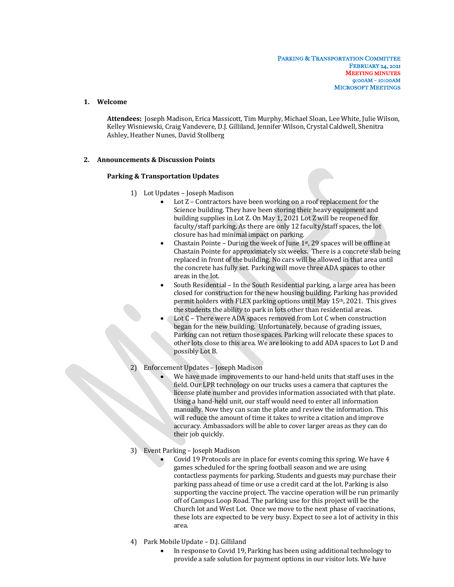## **1. Welcome**

Attendees: Joseph Madison, Erica Massicott, Tim Murphy, Michael Sloan, Lee White, Julie Wilson, Kelley Wisniewski, Craig Vandevere, D.J. Gilliland, Jennifer Wilson, Crystal Caldwell, Shenitra Ashley, Heather Nunes, David Stollberg

### **2. Announcements & Discussion Points**

### **Parking & Transportation Updates**

- 1) Lot Updates Joseph Madison
	- Lot  $Z$  Contractors have been working on a roof replacement for the Science building. They have been storing their heavy equipment and building supplies in Lot Z. On May 1, 2021 Lot Z will be reopened for faculty/staff parking. As there are only 12 faculty/staff spaces, the lot closure has had minimal impact on parking.
	- Chastain Pointe During the week of June  $1<sup>st</sup>$ , 29 spaces will be offline at Chastain Pointe for approximately six weeks. There is a concrete slab being replaced in front of the building. No cars will be allowed in that area until the concrete has fully set. Parking will move three ADA spaces to other areas in the lot.
	- South Residential In the South Residential parking, a large area has been closed for construction for the new housing building. Parking has provided permit holders with FLEX parking options until May 15<sup>th</sup>, 2021. This gives the students the ability to park in lots other than residential areas.
	- Lot C There were ADA spaces removed from Lot C when construction began for the new building. Unfortunately, because of grading issues, Parking can not return those spaces. Parking will relocate these spaces to other lots close to this area. We are looking to add ADA spaces to Lot D and possibly Lot B.

# Enforcement Updates - Joseph Madison

We have made improvements to our hand-held units that staff uses in the field. Our LPR technology on our trucks uses a camera that captures the license plate number and provides information associated with that plate. Using a hand-held unit, our staff would need to enter all information manually. Now they can scan the plate and review the information. This will reduce the amount of time it takes to write a citation and improve accuracy. Ambassadors will be able to cover larger areas as they can do their job quickly.

## 3) Event Parking - Joseph Madison

- Covid 19 Protocols are in place for events coming this spring. We have 4 games scheduled for the spring football season and we are using contactless payments for parking. Students and guests may purchase their parking pass ahead of time or use a credit card at the lot. Parking is also supporting the vaccine project. The vaccine operation will be run primarily off of Campus Loop Road. The parking use for this project will be the Church lot and West Lot. Once we move to the next phase of vaccinations, these lots are expected to be very busy. Expect to see a lot of activity in this area.
- 4) Park Mobile Update D.J. Gilliland
	- In response to Covid 19, Parking has been using additional technology to provide a safe solution for payment options in our visitor lots. We have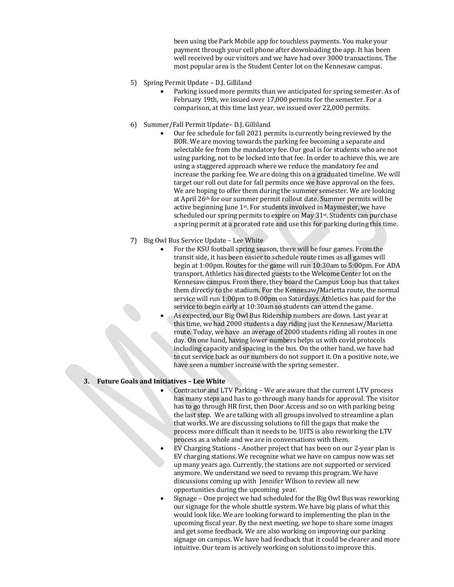been using the Park Mobile app for touchless payments. You make your payment through your cell phone after downloading the app. It has been well received by our visitors and we have had over 3000 transactions. The most popular area is the Student Center lot on the Kennesaw campus.

- 5) Spring Permit Update D.J. Gilliland
	- Parking issued more permits than we anticipated for spring semester. As of February 19th, we issued over 17,000 permits for the semester. For a comparison, at this time last year, we issued over 22,000 permits.
- 6) Summer/Fall Permit Update- D.J. Gilliland
	- Our fee schedule for fall 2021 permits is currently being reviewed by the BOR. We are moving towards the parking fee becoming a separate and selectable fee from the mandatory fee. Our goal is for students who are not using parking, not to be locked into that fee. In order to achieve this, we are using a staggered approach where we reduce the mandatory fee and increase the parking fee. We are doing this on a graduated timeline. We will target our roll out date for fall permits once we have approval on the fees. We are hoping to offer them during the summer semester. We are looking at April 26<sup>th</sup> for our summer permit rollout date. Summer permits will be active beginning June  $1<sup>st</sup>$ . For students involved in Maymester, we have scheduled our spring permits to expire on May 31st. Students can purchase a spring permit at a prorated rate and use this for parking during this time.
- 7) Big Owl Bus Service Update Lee White
	- For the KSU football spring season, there will be four games. From the transit side, it has been easier to schedule route times as all games will begin at 1:00pm. Routes for the game will run 10:30am to 5:00pm. For ADA transport, Athletics has directed guests to the Welcome Center lot on the Kennesaw campus. From there, they board the Campus Loop bus that takes them directly to the stadium. For the Kennesaw/Marietta route, the normal service will run 1:00pm to 8:00pm on Saturdays. Athletics has paid for the service to begin early at 10:30am so students can attend the game.
		- As expected, our Big Owl Bus Ridership numbers are down. Last year at this time, we had 2000 students a day riding just the Kennesaw/Marietta route. Today, we have an average of 2000 students riding all routes in one day. On one hand, having lower numbers helps us with covid protocols including capacity and spacing in the bus. On the other hand, we have had to cut service back as our numbers do not support it. On a positive note, we have seen a number increase with the spring semester.

### **3. Future Goals and Initiatives – Lee White**

Contractor and LTV Parking - We are aware that the current LTV process has many steps and has to go through many hands for approval. The visitor has to go through HR first, then Door Access and so on with parking being the last step. We are talking with all groups involved to streamline a plan that works. We are discussing solutions to fill the gaps that make the process more difficult than it needs to be. UITS is also reworking the LTV process as a whole and we are in conversations with them.

- EV Charging Stations Another project that has been on our 2-year plan is EV charging stations. We recognize what we have on campus now was set up many years ago. Currently, the stations are not supported or serviced anymore. We understand we need to revamp this program. We have discussions coming up with Jennifer Wilson to review all new opportunities during the upcoming year.
- Signage One project we had scheduled for the Big Owl Bus was reworking our signage for the whole shuttle system. We have big plans of what this would look like. We are looking forward to implementing the plan in the upcoming fiscal year. By the next meeting, we hope to share some images and get some feedback. We are also working on improving our parking signage on campus. We have had feedback that it could be clearer and more intuitive. Our team is actively working on solutions to improve this.